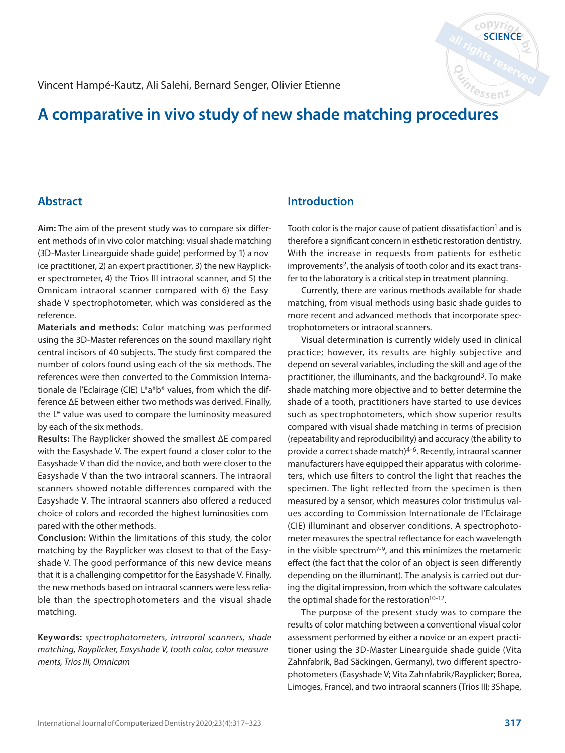Vincent Hampé-Kautz, Ali Salehi, Bernard Senger, Olivier Etienne

# **A comparative in vivo study of new shade matching procedures**

### **Abstract**

**Aim:** The aim of the present study was to compare six different methods of in vivo color matching: visual shade matching (3D-Master Linearguide shade guide) performed by 1) a novice practitioner, 2) an expert practitioner, 3) the new Rayplicker spectrometer, 4) the Trios III intraoral scanner, and 5) the Omnicam intraoral scanner compared with 6) the Easyshade V spectrophotometer, which was considered as the reference.

**Materials and methods:** Color matching was performed using the 3D-Master references on the sound maxillary right central incisors of 40 subjects. The study first compared the number of colors found using each of the six methods. The references were then converted to the Commission Internationale de l'Eclairage (CIE) L\*a\*b\* values, from which the difference ΔE between either two methods was derived. Finally, the L\* value was used to compare the luminosity measured by each of the six methods.

**Results:** The Rayplicker showed the smallest ΔE compared with the Easyshade V. The expert found a closer color to the Easyshade V than did the novice, and both were closer to the Easyshade V than the two intraoral scanners. The intraoral scanners showed notable differences compared with the Easyshade V. The intraoral scanners also offered a reduced choice of colors and recorded the highest luminosities compared with the other methods.

**Conclusion:** Within the limitations of this study, the color matching by the Rayplicker was closest to that of the Easyshade V. The good performance of this new device means that it is a challenging competitor for the Easyshade V. Finally, the new methods based on intraoral scanners were less reliable than the spectrophotometers and the visual shade matching.

**Keywords:** spectrophotometers, intraoral scanners, shade matching, Rayplicker, Easyshade V, tooth color, color measurements, Trios III, Omnicam

## **Introduction**

Tooth color is the major cause of patient dissatisfaction<sup>1</sup> and is therefore a significant concern in esthetic restoration dentistry. With the increase in requests from patients for esthetic improvements<sup>2</sup>, the analysis of tooth color and its exact transfer to the laboratory is a critical step in treatment planning.

**SCIENCE**

 $c$  op  $Vri$ 

Currently, there are various methods available for shade matching, from visual methods using basic shade guides to more recent and advanced methods that incorporate spectrophotometers or intraoral scanners.

Visual determination is currently widely used in clinical practice; however, its results are highly subjective and depend on several variables, including the skill and age of the practitioner, the illuminants, and the background3. To make shade matching more objective and to better determine the shade of a tooth, practitioners have started to use devices such as spectrophotometers, which show superior results compared with visual shade matching in terms of precision (repeatability and reproducibility) and accuracy (the ability to provide a correct shade match)4-6. Recently, intraoral scanner manufacturers have equipped their apparatus with colorimeters, which use filters to control the light that reaches the specimen. The light reflected from the specimen is then measured by a sensor, which measures color tristimulus values according to Commission Internationale de l'Eclairage (CIE) illuminant and observer conditions. A spectrophotometer measures the spectral reflectance for each wavelength in the visible spectrum7-9, and this minimizes the metameric effect (the fact that the color of an object is seen differently depending on the illuminant). The analysis is carried out during the digital impression, from which the software calculates the optimal shade for the restoration<sup>10-12</sup>.

The purpose of the present study was to compare the results of color matching between a conventional visual color assessment performed by either a novice or an expert practitioner using the 3D-Master Linearguide shade guide (Vita Zahnfabrik, Bad Säckingen, Germany), two different spectrophotometers (Easyshade V; Vita Zahnfabrik/Rayplicker; Borea, Limoges, France), and two intraoral scanners (Trios III; 3Shape,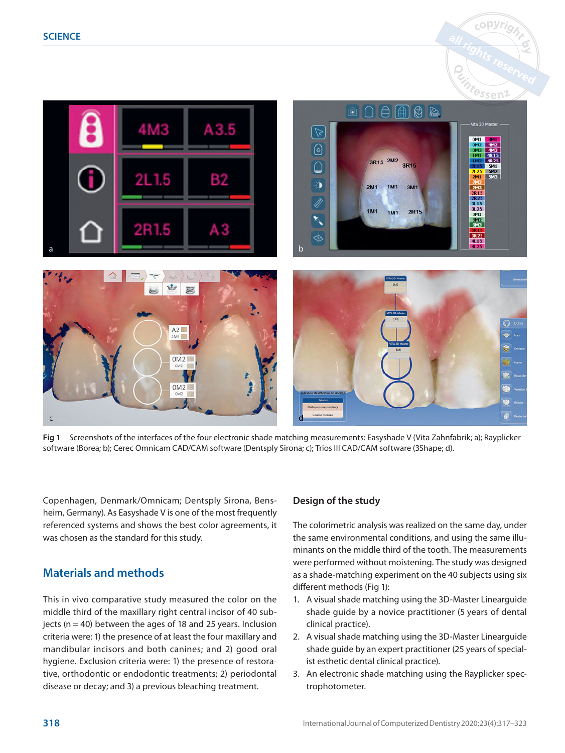



**Fig 1** Screenshots of the interfaces of the four electronic shade matching measurements: Easyshade V (Vita Zahnfabrik; a); Rayplicker software (Borea; b); Cerec Omnicam CAD/CAM software (Dentsply Sirona; c); Trios III CAD/CAM software (3Shape; d).

Copenhagen, Denmark/Omnicam; Dentsply Sirona, Bensheim, Germany). As Easyshade V is one of the most frequently referenced systems and shows the best color agreements, it was chosen as the standard for this study.

# **Materials and methods**

This in vivo comparative study measured the color on the middle third of the maxillary right central incisor of 40 subjects ( $n = 40$ ) between the ages of 18 and 25 years. Inclusion criteria were: 1) the presence of at least the four maxillary and mandibular incisors and both canines; and 2) good oral hygiene. Exclusion criteria were: 1) the presence of restorative, orthodontic or endodontic treatments; 2) periodontal disease or decay; and 3) a previous bleaching treatment.

## **Design of the study**

The colorimetric analysis was realized on the same day, under the same environmental conditions, and using the same illuminants on the middle third of the tooth. The measurements were performed without moistening. The study was designed as a shade-matching experiment on the 40 subjects using six different methods (Fig 1):

- 1. A visual shade matching using the 3D-Master Linearguide shade guide by a novice practitioner (5 years of dental clinical practice).
- 2. A visual shade matching using the 3D-Master Linearguide shade guide by an expert practitioner (25 years of specialist esthetic dental clinical practice).
- 3. An electronic shade matching using the Rayplicker spectrophotometer.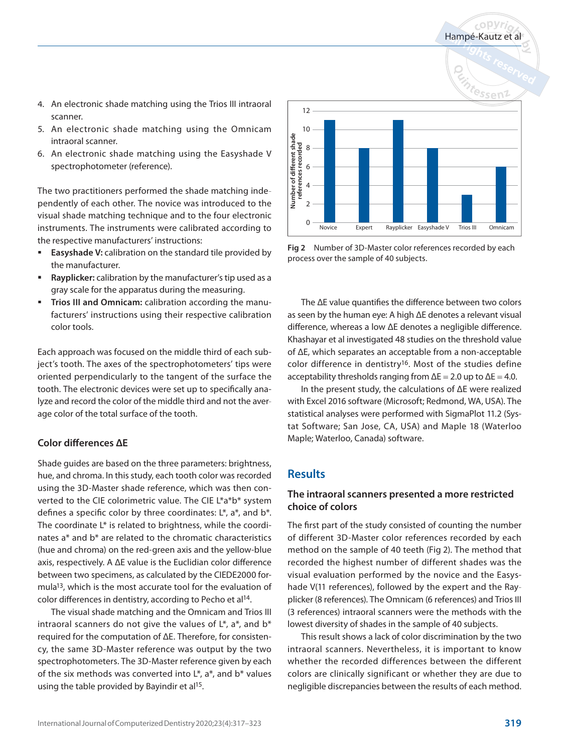$c$  OPVri

- 4. An electronic shade matching using the Trios III intraoral scanner.
- 5. An electronic shade matching using the Omnicam intraoral scanner.
- 6. An electronic shade matching using the Easyshade V spectrophotometer (reference).

The two practitioners performed the shade matching independently of each other. The novice was introduced to the visual shade matching technique and to the four electronic instruments. The instruments were calibrated according to the respective manufacturers' instructions:

- **Easyshade V:** calibration on the standard tile provided by the manufacturer.
- **Rayplicker:** calibration by the manufacturer's tip used as a gray scale for the apparatus during the measuring.
- **Trios III and Omnicam:** calibration according the manufacturers' instructions using their respective calibration color tools.

Each approach was focused on the middle third of each subject's tooth. The axes of the spectrophotometers' tips were oriented perpendicularly to the tangent of the surface the tooth. The electronic devices were set up to specifically analyze and record the color of the middle third and not the average color of the total surface of the tooth.

#### **Color differences ΔE**

Shade guides are based on the three parameters: brightness, hue, and chroma. In this study, each tooth color was recorded using the 3D-Master shade reference, which was then converted to the CIE colorimetric value. The CIE L\*a\*b\* system defines a specific color by three coordinates: L\*, a\*, and b\*. The coordinate L\* is related to brightness, while the coordinates a\* and b\* are related to the chromatic characteristics (hue and chroma) on the red-green axis and the yellow-blue axis, respectively. A ΔE value is the Euclidian color difference between two specimens, as calculated by the CIEDE2000 formula13, which is the most accurate tool for the evaluation of color differences in dentistry, according to Pecho et al14.

The visual shade matching and the Omnicam and Trios III intraoral scanners do not give the values of  $L^*$ ,  $a^*$ , and  $b^*$ required for the computation of ΔE. Therefore, for consistency, the same 3D-Master reference was output by the two spectrophotometers. The 3D-Master reference given by each of the six methods was converted into  $L^*$ , a<sup>\*</sup>, and  $b^*$  values using the table provided by Bayindir et al<sup>15</sup>.



**Fig 2** Number of 3D-Master color references recorded by each process over the sample of 40 subjects.

The ΔE value quantifies the difference between two colors as seen by the human eye: A high ΔE denotes a relevant visual difference, whereas a low ΔE denotes a negligible difference. Khashayar et al investigated 48 studies on the threshold value of ΔE, which separates an acceptable from a non-acceptable color difference in dentistry<sup>16</sup>. Most of the studies define acceptability thresholds ranging from  $\Delta E = 2.0$  up to  $\Delta E = 4.0$ .

In the present study, the calculations of ΔE were realized with Excel 2016 software (Microsoft; Redmond, WA, USA). The statistical analyses were performed with SigmaPlot 11.2 (Systat Software; San Jose, CA, USA) and Maple 18 (Waterloo Maple; Waterloo, Canada) software.

# **Results**

## **The intraoral scanners presented a more restricted choice of colors**

The first part of the study consisted of counting the number of different 3D-Master color references recorded by each method on the sample of 40 teeth (Fig 2). The method that recorded the highest number of different shades was the visual evaluation performed by the novice and the Easyshade V(11 references), followed by the expert and the Rayplicker (8 references). The Omnicam (6 references) and Trios III (3 references) intraoral scanners were the methods with the lowest diversity of shades in the sample of 40 subjects.

This result shows a lack of color discrimination by the two intraoral scanners. Nevertheless, it is important to know whether the recorded differences between the different colors are clinically significant or whether they are due to negligible discrepancies between the results of each method.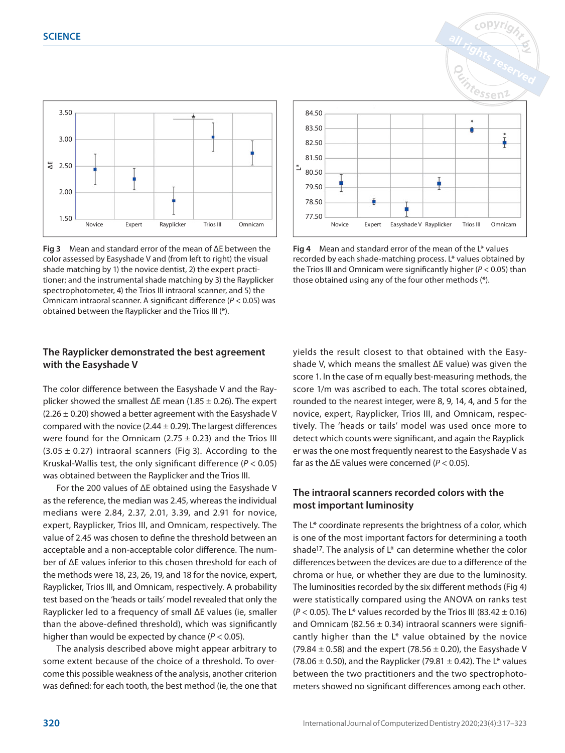

**Fig 3** Mean and standard error of the mean of ΔE between the color assessed by Easyshade V and (from left to right) the visual shade matching by 1) the novice dentist, 2) the expert practitioner; and the instrumental shade matching by 3) the Rayplicker spectrophotometer, 4) the Trios III intraoral scanner, and 5) the Omnicam intraoral scanner. A significant difference ( $P < 0.05$ ) was obtained between the Rayplicker and the Trios III (\*).

## **The Rayplicker demonstrated the best agreement with the Easyshade V**

The color difference between the Easyshade V and the Rayplicker showed the smallest  $\Delta E$  mean (1.85  $\pm$  0.26). The expert  $(2.26 \pm 0.20)$  showed a better agreement with the Easyshade V compared with the novice (2.44  $\pm$  0.29). The largest differences were found for the Omnicam (2.75  $\pm$  0.23) and the Trios III  $(3.05 \pm 0.27)$  intraoral scanners (Fig 3). According to the Kruskal-Wallis test, the only significant difference ( $P < 0.05$ ) was obtained between the Rayplicker and the Trios III.

For the 200 values of ΔE obtained using the Easyshade V as the reference, the median was 2.45, whereas the individual medians were 2.84, 2.37, 2.01, 3.39, and 2.91 for novice, expert, Rayplicker, Trios III, and Omnicam, respectively. The value of 2.45 was chosen to define the threshold between an acceptable and a non-acceptable color difference. The number of ΔE values inferior to this chosen threshold for each of the methods were 18, 23, 26, 19, and 18 for the novice, expert, Rayplicker, Trios III, and Omnicam, respectively. A probability test based on the 'heads or tails' model revealed that only the Rayplicker led to a frequency of small ΔE values (ie, smaller than the above-defined threshold), which was significantly higher than would be expected by chance ( $P < 0.05$ ).

The analysis described above might appear arbitrary to some extent because of the choice of a threshold. To overcome this possible weakness of the analysis, another criterion was defined: for each tooth, the best method (ie, the one that



**Fig 4** Mean and standard error of the mean of the L\* values recorded by each shade-matching process. L\* values obtained by the Trios III and Omnicam were significantly higher ( $P < 0.05$ ) than those obtained using any of the four other methods (\*).

yields the result closest to that obtained with the Easyshade V, which means the smallest ΔE value) was given the score 1. In the case of m equally best-measuring methods, the score 1/m was ascribed to each. The total scores obtained, rounded to the nearest integer, were 8, 9, 14, 4, and 5 for the novice, expert, Rayplicker, Trios III, and Omnicam, respectively. The 'heads or tails' model was used once more to detect which counts were significant, and again the Rayplicker was the one most frequently nearest to the Easyshade V as far as the  $\Delta E$  values were concerned ( $P < 0.05$ ).

#### **The intraoral scanners recorded colors with the most important luminosity**

The L\* coordinate represents the brightness of a color, which is one of the most important factors for determining a tooth shade<sup>17</sup>. The analysis of  $L^*$  can determine whether the color differences between the devices are due to a difference of the chroma or hue, or whether they are due to the luminosity. The luminosities recorded by the six different methods (Fig 4) were statistically compared using the ANOVA on ranks test  $(P < 0.05)$ . The L<sup>\*</sup> values recorded by the Trios III (83.42  $\pm$  0.16) and Omnicam (82.56  $\pm$  0.34) intraoral scanners were significantly higher than the L\* value obtained by the novice (79.84  $\pm$  0.58) and the expert (78.56  $\pm$  0.20), the Easyshade V (78.06  $\pm$  0.50), and the Rayplicker (79.81  $\pm$  0.42). The L\* values between the two practitioners and the two spectrophotometers showed no significant differences among each other.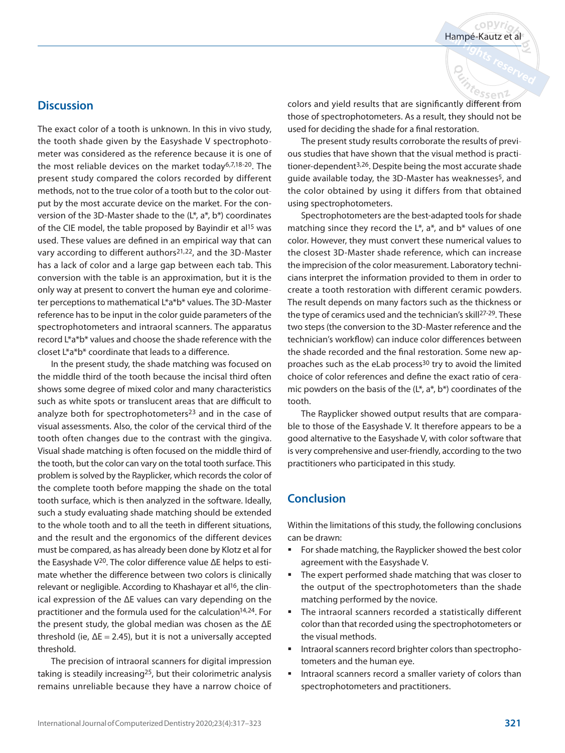#### **Discussion**

The exact color of a tooth is unknown. In this in vivo study, the tooth shade given by the Easyshade V spectrophotometer was considered as the reference because it is one of the most reliable devices on the market today6,7,18-20. The present study compared the colors recorded by different methods, not to the true color of a tooth but to the color output by the most accurate device on the market. For the conversion of the 3D-Master shade to the  $(L^*, a^*, b^*)$  coordinates of the CIE model, the table proposed by Bayindir et al<sup>15</sup> was used. These values are defined in an empirical way that can vary according to different authors<sup>21,22</sup>, and the 3D-Master has a lack of color and a large gap between each tab. This conversion with the table is an approximation, but it is the only way at present to convert the human eye and colorimeter perceptions to mathematical L\*a\*b\* values. The 3D-Master reference has to be input in the color guide parameters of the spectrophotometers and intraoral scanners. The apparatus record L\*a\*b\* values and choose the shade reference with the closet L\*a\*b\* coordinate that leads to a difference.

In the present study, the shade matching was focused on the middle third of the tooth because the incisal third often shows some degree of mixed color and many characteristics such as white spots or translucent areas that are difficult to analyze both for spectrophotometers<sup>23</sup> and in the case of visual assessments. Also, the color of the cervical third of the tooth often changes due to the contrast with the gingiva. Visual shade matching is often focused on the middle third of the tooth, but the color can vary on the total tooth surface. This problem is solved by the Rayplicker, which records the color of the complete tooth before mapping the shade on the total tooth surface, which is then analyzed in the software. Ideally, such a study evaluating shade matching should be extended to the whole tooth and to all the teeth in different situations, and the result and the ergonomics of the different devices must be compared, as has already been done by Klotz et al for the Easyshade V20. The color difference value ΔE helps to estimate whether the difference between two colors is clinically relevant or negligible. According to Khashayar et al<sup>16</sup>, the clinical expression of the ΔE values can vary depending on the practitioner and the formula used for the calculation14,24. For the present study, the global median was chosen as the ΔE threshold (ie,  $\Delta E = 2.45$ ), but it is not a universally accepted threshold.

The precision of intraoral scanners for digital impression taking is steadily increasing25, but their colorimetric analysis remains unreliable because they have a narrow choice of  $c$ opyri

essen2

colors and yield results that are significantly different from those of spectrophotometers. As a result, they should not be used for deciding the shade for a final restoration.

The present study results corroborate the results of previous studies that have shown that the visual method is practitioner-dependent3,26. Despite being the most accurate shade guide available today, the 3D-Master has weaknesses<sup>5</sup>, and the color obtained by using it differs from that obtained using spectrophotometers.

Spectrophotometers are the best-adapted tools for shade matching since they record the  $L^*$ ,  $a^*$ , and  $b^*$  values of one color. However, they must convert these numerical values to the closest 3D-Master shade reference, which can increase the imprecision of the color measurement. Laboratory technicians interpret the information provided to them in order to create a tooth restoration with different ceramic powders. The result depends on many factors such as the thickness or the type of ceramics used and the technician's skill<sup>27-29</sup>. These two steps (the conversion to the 3D-Master reference and the technician's workflow) can induce color differences between the shade recorded and the final restoration. Some new approaches such as the eLab process<sup>30</sup> try to avoid the limited choice of color references and define the exact ratio of ceramic powders on the basis of the  $(L^*, a^*, b^*)$  coordinates of the tooth.

The Rayplicker showed output results that are comparable to those of the Easyshade V. It therefore appears to be a good alternative to the Easyshade V, with color software that is very comprehensive and user-friendly, according to the two practitioners who participated in this study.

#### **Conclusion**

Within the limitations of this study, the following conclusions can be drawn:

- For shade matching, the Rayplicker showed the best color agreement with the Easyshade V.
- **The expert performed shade matching that was closer to** the output of the spectrophotometers than the shade matching performed by the novice.
- The intraoral scanners recorded a statistically different color than that recorded using the spectrophotometers or the visual methods.
- **Intraoral scanners record brighter colors than spectropho**tometers and the human eye.
- **Intraoral scanners record a smaller variety of colors than** spectrophotometers and practitioners.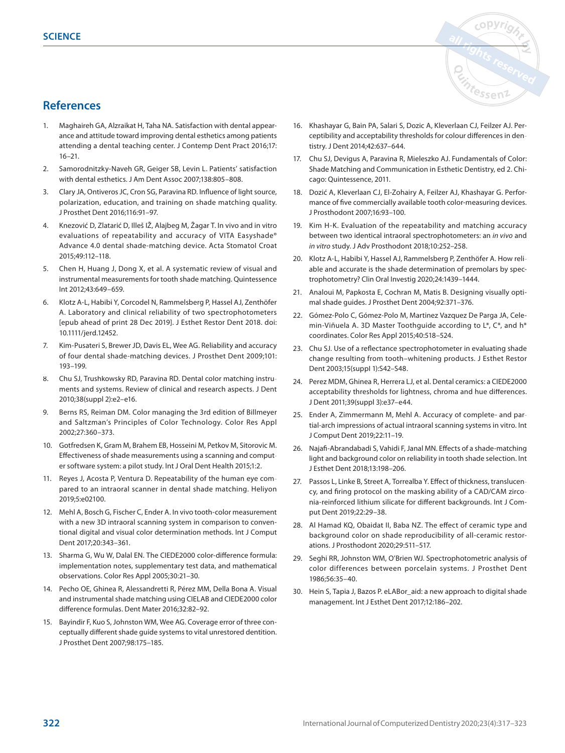# **References**

- 1. Maghaireh GA, Alzraikat H, Taha NA. Satisfaction with dental appearance and attitude toward improving dental esthetics among patients attending a dental teaching center. J Contemp Dent Pract 2016;17: 16–21.
- 2. Samorodnitzky-Naveh GR, Geiger SB, Levin L. Patients' satisfaction with dental esthetics. J Am Dent Assoc 2007;138:805–808.
- 3. Clary JA, Ontiveros JC, Cron SG, Paravina RD. Influence of light source, polarization, education, and training on shade matching quality. J Prosthet Dent 2016;116:91–97.
- 4. Knezović D, Zlatarić D, Illeš IŽ, Alajbeg M, Žagar T. In vivo and in vitro evaluations of repeatability and accuracy of VITA Easyshade® Advance 4.0 dental shade-matching device. Acta Stomatol Croat 2015;49:112–118.
- 5. Chen H, Huang J, Dong X, et al. A systematic review of visual and instrumental measurements for tooth shade matching. Quintessence Int 2012;43:649–659.
- 6. Klotz A-L, Habibi Y, Corcodel N, Rammelsberg P, Hassel AJ, Zenthöfer A. Laboratory and clinical reliability of two spectrophotometers [epub ahead of print 28 Dec 2019]. J Esthet Restor Dent 2018. doi: 10.1111/jerd.12452.
- 7. Kim-Pusateri S, Brewer JD, Davis EL, Wee AG. Reliability and accuracy of four dental shade-matching devices. J Prosthet Dent 2009;101: 193–199.
- 8. Chu SJ, Trushkowsky RD, Paravina RD. Dental color matching instruments and systems. Review of clinical and research aspects. J Dent 2010;38(suppl 2):e2–e16.
- 9. Berns RS, Reiman DM. Color managing the 3rd edition of Billmeyer and Saltzman's Principles of Color Technology. Color Res Appl 2002;27:360–373.
- 10. Gotfredsen K, Gram M, Brahem EB, Hosseini M, Petkov M, Sitorovic M. Effectiveness of shade measurements using a scanning and computer software system: a pilot study. Int J Oral Dent Health 2015;1:2.
- 11. Reyes J, Acosta P, Ventura D. Repeatability of the human eye compared to an intraoral scanner in dental shade matching. Heliyon 2019;5:e02100.
- 12. Mehl A, Bosch G, Fischer C, Ender A. In vivo tooth-color measurement with a new 3D intraoral scanning system in comparison to conventional digital and visual color determination methods. Int J Comput Dent 2017;20:343–361.
- 13. Sharma G, Wu W, Dalal EN. The CIEDE2000 color-difference formula: implementation notes, supplementary test data, and mathematical observations. Color Res Appl 2005;30:21–30.
- 14. Pecho OE, Ghinea R, Alessandretti R, Pérez MM, Della Bona A. Visual and instrumental shade matching using CIELAB and CIEDE2000 color difference formulas. Dent Mater 2016;32:82–92.
- 15. Bayindir F, Kuo S, Johnston WM, Wee AG. Coverage error of three conceptually different shade guide systems to vital unrestored dentition. J Prosthet Dent 2007;98:175–185.
- 16. Khashayar G, Bain PA, Salari S, Dozic A, Kleverlaan CJ, Feilzer AJ. Perceptibility and acceptability thresholds for colour differences in dentistry. J Dent 2014;42:637–644.
- 17. Chu SJ, Devigus A, Paravina R, Mieleszko AJ. Fundamentals of Color: Shade Matching and Communication in Esthetic Dentistry, ed 2. Chicago: Quintessence, 2011.
- 18. Dozić A, Kleverlaan CJ, El-Zohairy A, Feilzer AJ, Khashayar G. Performance of five commercially available tooth color-measuring devices. J Prosthodont 2007;16:93–100.
- 19. Kim H-K. Evaluation of the repeatability and matching accuracy between two identical intraoral spectrophotometers: an in vivo and in vitro study. J Adv Prosthodont 2018;10:252–258.
- 20. Klotz A-L, Habibi Y, Hassel AJ, Rammelsberg P, Zenthöfer A. How reliable and accurate is the shade determination of premolars by spectrophotometry? Clin Oral Investig 2020;24:1439–1444.
- 21. Analoui M, Papkosta E, Cochran M, Matis B. Designing visually optimal shade guides. J Prosthet Dent 2004;92:371–376.
- 22. Gómez-Polo C, Gómez-Polo M, Martinez Vazquez De Parga JA, Celemin-Viñuela A. 3D Master Toothguide according to L\*, C\*, and h\* coordinates. Color Res Appl 2015;40:518–524.
- 23. Chu SJ. Use of a reflectance spectrophotometer in evaluating shade change resulting from tooth–whitening products. J Esthet Restor Dent 2003;15(suppl 1):S42–S48.
- 24. Perez MDM, Ghinea R, Herrera LJ, et al. Dental ceramics: a CIEDE2000 acceptability thresholds for lightness, chroma and hue differences. J Dent 2011;39(suppl 3):e37–e44.
- 25. Ender A, Zimmermann M, Mehl A. Accuracy of complete- and partial-arch impressions of actual intraoral scanning systems in vitro. Int J Comput Dent 2019;22:11–19.
- 26. Najafi-Abrandabadi S, Vahidi F, Janal MN. Effects of a shade-matching light and background color on reliability in tooth shade selection. Int J Esthet Dent 2018;13:198–206.
- 27. Passos L, Linke B, Street A, Torrealba Y. Effect of thickness, translucency, and firing protocol on the masking ability of a CAD/CAM zirconia-reinforced lithium silicate for different backgrounds. Int J Comput Dent 2019;22:29–38.
- 28. Al Hamad KQ, Obaidat II, Baba NZ. The effect of ceramic type and background color on shade reproducibility of all-ceramic restorations. J Prosthodont 2020;29:511–517.
- 29. Seghi RR, Johnston WM, O'Brien WJ. Spectrophotometric analysis of color differences between porcelain systems. J Prosthet Dent 1986;56:35–40.
- 30. Hein S, Tapia J, Bazos P. eLABor\_aid: a new approach to digital shade management. Int J Esthet Dent 2017;12:186–202.